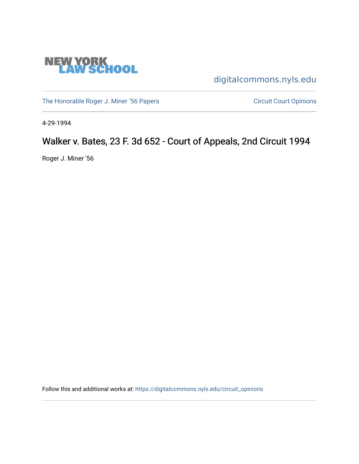

[digitalcommons.nyls.edu](https://digitalcommons.nyls.edu/) 

[The Honorable Roger J. Miner '56 Papers](https://digitalcommons.nyls.edu/miner_papers) Circuit Court Opinions

4-29-1994

# Walker v. Bates, 23 F. 3d 652 - Court of Appeals, 2nd Circuit 1994

Roger J. Miner '56

Follow this and additional works at: [https://digitalcommons.nyls.edu/circuit\\_opinions](https://digitalcommons.nyls.edu/circuit_opinions?utm_source=digitalcommons.nyls.edu%2Fcircuit_opinions%2F402&utm_medium=PDF&utm_campaign=PDFCoverPages)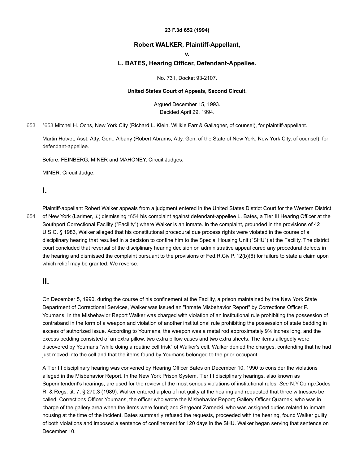#### **23 F.3d 652 (1994)**

### **Robert WALKER, Plaintiff-Appellant,**

#### **v.**

#### **L. BATES, Hearing Officer, Defendant-Appellee.**

No. 731, Docket 93-2107.

#### **United States Court of Appeals, Second Circuit.**

Argued December 15, 1993. Decided April 29, 1994.

[653](#page-1-0) [\\*653](#page-1-0) Mitchel H. Ochs, New York City (Richard L. Klein, Willkie Farr & Gallagher, of counsel), for plaintiff-appellant.

<span id="page-1-0"></span>Martin Hotvet, Asst. Atty. Gen., Albany (Robert Abrams, Atty. Gen. of the State of New York, New York City, of counsel), for defendant-appellee.

Before: FEINBERG, MINER and MAHONEY, Circuit Judges.

MINER, Circuit Judge:

### **I.**

[654](#page-1-1)

<span id="page-1-1"></span>Plaintiff-appellant Robert Walker appeals from a judgment entered in the United States District Court for the Western District of New York (Larimer, *J.*) dismissing [\\*654](#page-1-1) his complaint against defendant-appellee L. Bates, a Tier III Hearing Officer at the Southport Correctional Facility ("Facility") where Walker is an inmate. In the complaint, grounded in the provisions of 42 U.S.C. § 1983, Walker alleged that his constitutional procedural due process rights were violated in the course of a disciplinary hearing that resulted in a decision to confine him to the Special Housing Unit ("SHU") at the Facility. The district court concluded that reversal of the disciplinary hearing decision on administrative appeal cured any procedural defects in the hearing and dismissed the complaint pursuant to the provisions of Fed.R.Civ.P. 12(b)(6) for failure to state a claim upon which relief may be granted. We reverse.

### **II.**

On December 5, 1990, during the course of his confinement at the Facility, a prison maintained by the New York State Department of Correctional Services, Walker was issued an "Inmate Misbehavior Report" by Corrections Officer P. Youmans. In the Misbehavior Report Walker was charged with violation of an institutional rule prohibiting the possession of contraband in the form of a weapon and violation of another institutional rule prohibiting the possession of state bedding in excess of authorized issue. According to Youmans, the weapon was a metal rod approximately 9½ inches long, and the excess bedding consisted of an extra pillow, two extra pillow cases and two extra sheets. The items allegedly were discovered by Youmans "while doing a routine cell frisk" of Walker's cell. Walker denied the charges, contending that he had just moved into the cell and that the items found by Youmans belonged to the prior occupant.

A Tier III disciplinary hearing was convened by Hearing Officer Bates on December 10, 1990 to consider the violations alleged in the Misbehavior Report. In the New York Prison System, Tier III disciplinary hearings, also known as Superintendent's hearings, are used for the review of the most serious violations of institutional rules. *See* N.Y.Comp.Codes R. & Regs. tit. 7, § 270.3 (1989). Walker entered a plea of not guilty at the hearing and requested that three witnesses be called: Corrections Officer Youmans, the officer who wrote the Misbehavior Report; Gallery Officer Quarnek, who was in charge of the gallery area when the items were found; and Sergeant Zarnecki, who was assigned duties related to inmate housing at the time of the incident. Bates summarily refused the requests, proceeded with the hearing, found Walker guilty of both violations and imposed a sentence of confinement for 120 days in the SHU. Walker began serving that sentence on December 10.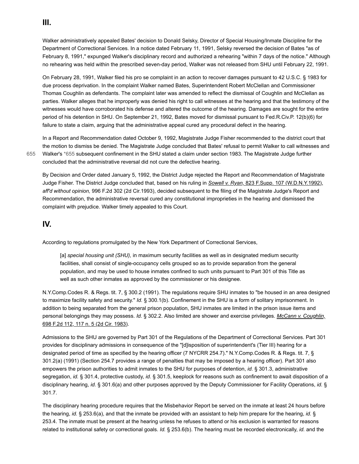Walker administratively appealed Bates' decision to Donald Selsky, Director of Special Housing/Inmate Discipline for the Department of Correctional Services. In a notice dated February 11, 1991, Selsky reversed the decision of Bates "as of February 8, 1991," expunged Walker's disciplinary record and authorized a rehearing "within 7 days of the notice." Although no rehearing was held within the prescribed seven-day period, Walker was not released from SHU until February 22, 1991.

On February 28, 1991, Walker filed his pro se complaint in an action to recover damages pursuant to 42 U.S.C. § 1983 for due process deprivation. In the complaint Walker named Bates, Superintendent Robert McClellan and Commissioner Thomas Coughlin as defendants. The complaint later was amended to reflect the dismissal of Coughlin and McClellan as parties. Walker alleges that he improperly was denied his right to call witnesses at the hearing and that the testimony of the witnesses would have corroborated his defense and altered the outcome of the hearing. Damages are sought for the entire period of his detention in SHU. On September 21, 1992, Bates moved for dismissal pursuant to Fed.R.Civ.P. 12(b)(6) for failure to state a claim, arguing that the administrative appeal cured any procedural defect in the hearing.

<span id="page-2-0"></span>In a Report and Recommendation dated October 9, 1992, Magistrate Judge Fisher recommended to the district court that the motion to dismiss be denied. The Magistrate Judge concluded that Bates' refusal to permit Walker to call witnesses and Walker's [\\*655](#page-2-0) subsequent confinement in the SHU stated a claim under section 1983. The Magistrate Judge further concluded that the administrative reversal did not cure the defective hearing.

By Decision and Order dated January 5, 1992, the District Judge rejected the Report and Recommendation of Magistrate Judge Fisher. The District Judge concluded that, based on his ruling in *Sowell v. Ryan,* [823 F.Supp. 107 \(W.D.N.Y.1992\),](https://scholar.google.com/scholar_case?case=1225859776355048055&q=93-2107&hl=en&as_sdt=6,31) *aff'd without opinion,* 996 F.2d 302 (2d Cir.1993), decided subsequent to the filing of the Magistrate Judge's Report and Recommendation, the administrative reversal cured any constitutional improprieties in the hearing and dismissed the complaint with prejudice. Walker timely appealed to this Court.

### **IV.**

[655](#page-2-0)

According to regulations promulgated by the New York Department of Correctional Services,

[a] *special housing unit (SHU),* in maximum security facilities as well as in designated medium security facilities, shall consist of single-occupancy cells grouped so as to provide separation from the general population, and may be used to house inmates confined to such units pursuant to Part 301 of this Title as well as such other inmates as approved by the commissioner or his designee.

N.Y.Comp.Codes R. & Regs. tit. 7, § 300.2 (1991). The regulations require SHU inmates to "be housed in an area designed to maximize facility safety and security." *Id.* § 300.1(b). Confinement in the SHU is a form of solitary imprisonment. In addition to being separated from the general prison population, SHU inmates are limited in the prison issue items and personal belongings they may possess. *Id.* [§ 302.2. Also limited are shower and exercise privileges.](https://scholar.google.com/scholar_case?case=2697923939660132614&q=93-2107&hl=en&as_sdt=6,31) *McCann v. Coughlin,* 698 F.2d 112, 117 n. 5 (2d Cir. 1983).

Admissions to the SHU are governed by Part 301 of the Regulations of the Department of Correctional Services. Part 301 provides for disciplinary admissions in consequence of the "[d]isposition of superintendent's (Tier III) hearing for a designated period of time as specified by the hearing officer (7 NYCRR 254.7)." N.Y.Comp.Codes R. & Regs. tit. 7, § 301.2(a) (1991) (Section 254.7 provides a range of penalties that may be imposed by a hearing officer). Part 301 also empowers the prison authorities to admit inmates to the SHU for purposes of detention, *id.* § 301.3, administrative segregation, *id.* § 301.4, protective custody, *id.* § 301.5, keeplock for reasons such as confinement to await disposition of a disciplinary hearing, *id.* § 301.6(a) and other purposes approved by the Deputy Commissioner for Facility Operations, *id.* § 301.7.

The disciplinary hearing procedure requires that the Misbehavior Report be served on the inmate at least 24 hours before the hearing, *id.* § 253.6(a), and that the inmate be provided with an assistant to help him prepare for the hearing, *id.* § 253.4. The inmate must be present at the hearing unless he refuses to attend or his exclusion is warranted for reasons related to institutional safety or correctional goals. *Id.* § 253.6(b). The hearing must be recorded electronically, *id.* and the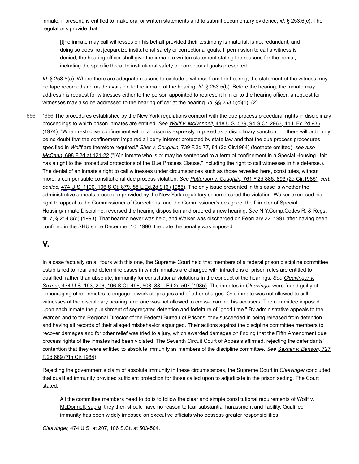inmate, if present, is entitled to make oral or written statements and to submit documentary evidence, *id.* § 253.6(c). The regulations provide that

[t]he inmate may call witnesses on his behalf provided their testimony is material, is not redundant, and doing so does not jeopardize institutional safety or correctional goals. If permission to call a witness is denied, the hearing officer shall give the inmate a written statement stating the reasons for the denial, including the specific threat to institutional safety or correctional goals presented.

*Id.* § 253.5(a). Where there are adequate reasons to exclude a witness from the hearing, the statement of the witness may be tape recorded and made available to the inmate at the hearing. *Id.* § 253.5(b). Before the hearing, the inmate may address his request for witnesses either to the person appointed to represent him or to the hearing officer; a request for witnesses may also be addressed to the hearing officer at the hearing. *Id.* §§ 253.5(c)(1), (2).

<span id="page-3-0"></span>[\\*656](#page-3-0) The procedures established by the New York regulations comport with the due process procedural rights in disciplinary proceedings to which prison inmates are entitled. *See Wolff v. McDonnell,* 418 U.S. 539, 94 S.Ct. 2963, 41 L.Ed.2d 935  $(1974)$ . "When restrictive confinement within a prison is expressly imposed as a disciplinary sanction . . . there will ordinarily be no doubt that the confinement impaired a liberty interest protected by state law and that the due process procedures specified in *Wolff* are therefore required." *Sher v. Coughlin,* [739 F.2d 77, 81 \(2d Cir.1984\)](https://scholar.google.com/scholar_case?case=6387795492231970978&q=93-2107&hl=en&as_sdt=6,31) (footnote omitted); *see also McCann,* [698 F.2d at 121-22](https://scholar.google.com/scholar_case?case=2697923939660132614&q=93-2107&hl=en&as_sdt=6,31) ("[A]n inmate who is or may be sentenced to a term of confinement in a Special Housing Unit has a right to the procedural protections of the Due Process Clause," including the right to call witnesses in his defense.). The denial of an inmate's right to call witnesses under circumstances such as those revealed here, constitutes, without more, a compensable constitutional due process violation. *See Patterson v. Coughlin,* [761 F.2d 886, 893 \(2d Cir.1985\),](https://scholar.google.com/scholar_case?case=13636434656578041352&q=93-2107&hl=en&as_sdt=6,31) *cert. denied,* [474 U.S. 1100, 106 S.Ct. 879, 88 L.Ed.2d 916 \(1986\).](https://scholar.google.com/scholar_case?about=3099248561741914771&q=93-2107&hl=en&as_sdt=6,31) The only issue presented in this case is whether the administrative appeals procedure provided by the New York regulatory scheme cured the violation. Walker exercised his right to appeal to the Commissioner of Corrections, and the Commissioner's designee, the Director of Special Housing/Inmate Discipline, reversed the hearing disposition and ordered a new hearing. *See* N.Y.Comp.Codes R. & Regs. tit. 7, § 254.8(d) (1993). That hearing never was held, and Walker was discharged on February 22, 1991 after having been confined in the SHU since December 10, 1990, the date the penalty was imposed. [656](#page-3-0)

# **V.**

In a case factually on all fours with this one, the Supreme Court held that members of a federal prison discipline committee established to hear and determine cases in which inmates are charged with infractions of prison rules are entitled to [qualified, rather than absolute, immunity for constitutional violations in the conduct of the hearings.](https://scholar.google.com/scholar_case?case=18394044920338678572&q=93-2107&hl=en&as_sdt=6,31) *See Cleavinger v. Saxner,* 474 U.S. 193, 206, 106 S.Ct. 496, 503, 88 L.Ed.2d 507 (1985). The inmates in *Cleavinger* were found guilty of encouraging other inmates to engage in work stoppages and of other charges. One inmate was not allowed to call witnesses at the disciplinary hearing, and one was not allowed to cross-examine his accusers. The committee imposed upon each inmate the punishment of segregated detention and forfeiture of "good time." By administrative appeals to the Warden and to the Regional Director of the Federal Bureau of Prisons, they succeeded in being released from detention and having all records of their alleged misbehavior expunged. Their actions against the discipline committee members to recover damages and for other relief was tried to a jury, which awarded damages on finding that the Fifth Amendment due process rights of the inmates had been violated. The Seventh Circuit Court of Appeals affirmed, rejecting the defendants' [contention that they were entitled to absolute immunity as members of the discipline committee.](https://scholar.google.com/scholar_case?case=7769735471408820054&q=93-2107&hl=en&as_sdt=6,31) *See Saxner v. Benson,* 727 F.2d 669 (7th Cir.1984).

Rejecting the government's claim of absolute immunity in these circumstances, the Supreme Court in *Cleavinger* concluded that qualified immunity provided sufficient protection for those called upon to adjudicate in the prison setting. The Court stated:

[All the committee members need to do is to follow the clear and simple constitutional requirements of Wolff v.](https://scholar.google.com/scholar_case?case=2470089403742079115&q=93-2107&hl=en&as_sdt=6,31) McDonnell, supra; they then should have no reason to fear substantial harassment and liability. Qualified immunity has been widely imposed on executive officials who possess greater responsibilities.

*Cleavinger,* [474 U.S. at 207, 106 S.Ct. at 503-504](https://scholar.google.com/scholar_case?case=18394044920338678572&q=93-2107&hl=en&as_sdt=6,31).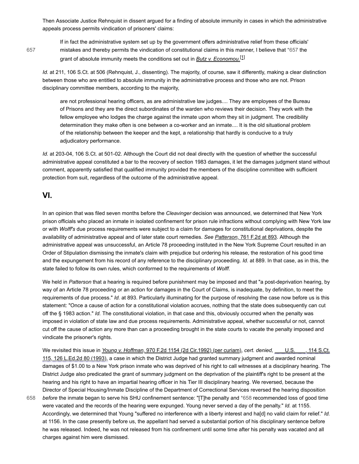Then Associate Justice Rehnquist in dissent argued for a finding of absolute immunity in cases in which the administrative appeals process permits vindication of prisoners' claims:

[657](#page-4-0)

<span id="page-4-0"></span>If in fact the administrative system set up by the government offers administrative relief from these officials' mistakes and thereby permits the vindication of constitutional claims in this manner, I believe that [\\*657](#page-4-0) the grant of absolute immunity meets the conditions set out in *[Butz v. Economou.](https://scholar.google.com/scholar_case?case=6218676668787438676&q=93-2107&hl=en&as_sdt=6,31)*[\[1\]](#page-6-0)

*Id.* at 211, 106 S.Ct. at 506 (Rehnquist, J., dissenting). The majority, of course, saw it differently, making a clear distinction between those who are entitled to absolute immunity in the administrative process and those who are not. Prison disciplinary committee members, according to the majority,

<span id="page-4-2"></span>are not professional hearing officers, as are administrative law judges.... They are employees of the Bureau of Prisons and they are the direct subordinates of the warden who reviews their decision. They work with the fellow employee who lodges the charge against the inmate upon whom they sit in judgment. The credibility determination they make often is one between a co-worker and an inmate.... It is the old situational problem of the relationship between the keeper and the kept, a relationship that hardly is conducive to a truly adjudicatory performance.

*Id.* at 203-04, 106 S.Ct. at 501-02. Although the Court did not deal directly with the question of whether the successful administrative appeal constituted a bar to the recovery of section 1983 damages, it let the damages judgment stand without comment, apparently satisfied that qualified immunity provided the members of the discipline committee with sufficient protection from suit, regardless of the outcome of the administrative appeal.

## **VI.**

In an opinion that was filed seven months before the *Cleavinger* decision was announced, we determined that New York prison officials who placed an inmate in isolated confinement for prison rule infractions without complying with New York law or with *Wolff's* due process requirements were subject to a claim for damages for constitutional deprivations, despite the availability of administrative appeal and of later state court remedies. *See Patterson,* [761 F.2d at 893](https://scholar.google.com/scholar_case?case=13636434656578041352&q=93-2107&hl=en&as_sdt=6,31). Although the administrative appeal was unsuccessful, an Article 78 proceeding instituted in the New York Supreme Court resulted in an Order of Stipulation dismissing the inmate's claim with prejudice but ordering his release, the restoration of his good time and the expungement from his record of any reference to the disciplinary proceeding. *Id.* at 889. In that case, as in this, the state failed to follow its own rules, which conformed to the requirements of *Wolff.*

We held in *Patterson* that a hearing is required before punishment may be imposed and that "a post-deprivation hearing, by way of an Article 78 proceeding or an action for damages in the Court of Claims, is inadequate, by definition, to meet the requirements of due process." *Id.* at 893. Particularly illuminating for the purpose of resolving the case now before us is this statement: "Once a cause of action for a constitutional violation accrues, nothing that the state does subsequently can cut off the § 1983 action." *Id.* The constitutional violation, in that case and this, obviously occurred when the penalty was imposed in violation of state law and due process requirements. Administrative appeal, whether successful or not, cannot cut off the cause of action any more than can a proceeding brought in the state courts to vacate the penalty imposed and vindicate the prisoner's rights.

<span id="page-4-1"></span>We revisited this issue in *Young v. Hoffman,* [970 F.2d 1154 \(2d Cir.1992\) \(per curiam\),](https://scholar.google.com/scholar_case?case=6983699404689839235&q=93-2107&hl=en&as_sdt=6,31) *cert. denied,* \_\_\_ U.S. \_\_\_, 114 S.Ct. [115, 126 L.Ed.2d 80 \(1993\), a case in which the District Judge had granted summary judgment and awarded nominal](https://scholar.google.com/scholar_case?about=7284825247950663579&q=93-2107&hl=en&as_sdt=6,31) damages of \$1.00 to a New York prison inmate who was deprived of his right to call witnesses at a disciplinary hearing. The District Judge also predicated the grant of summary judgment on the deprivation of the plaintiff's right to be present at the hearing and his right to have an impartial hearing officer in his Tier III disciplinary hearing. We reversed, because the Director of Special Housing/Inmate Discipline of the Department of Correctional Services reversed the hearing disposition *before* the inmate began to serve his SHU confinement sentence: "[T]he penalty and [\\*658](#page-4-1) recommended loss of good time

were vacated and the records of the hearing were expunged. Young never served a day of the penalty." *Id.* at 1155. Accordingly, we determined that Young "suffered no interference with a liberty interest and ha[d] no valid claim for relief." *Id.* at 1156. In the case presently before us, the appellant had served a substantial portion of his disciplinary sentence before he was released. Indeed, he was not released from his confinement until some time after his penalty was vacated and all charges against him were dismissed. [658](#page-4-1)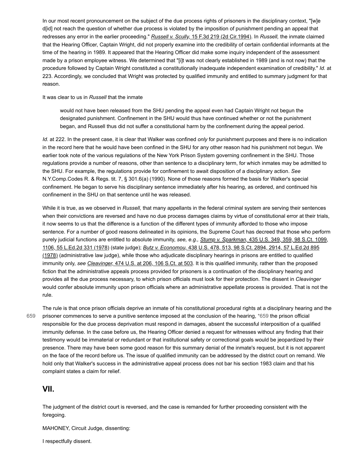In our most recent pronouncement on the subject of the due process rights of prisoners in the disciplinary context, "[w]e d[id] not reach the question of whether due process is violated by the imposition of punishment pending an appeal that redresses any error in the earlier proceeding." *Russell v. Scully,* [15 F.3d 219 \(2d Cir.1994\).](https://scholar.google.com/scholar_case?case=9536262230093884432&q=93-2107&hl=en&as_sdt=6,31) In *Russell,* the inmate claimed that the Hearing Officer, Captain Wright, did not properly examine into the credibility of certain confidential informants at the time of the hearing in 1989. It appeared that the Hearing Officer did make some inquiry independent of the assessment made by a prison employee witness. We determined that "[i]t was not clearly established in 1989 (and is not now) that the procedure followed by Captain Wright constituted a constitutionally inadequate independent examination of credibility." *Id.* at 223. Accordingly, we concluded that Wright was protected by qualified immunity and entitled to summary judgment for that reason.

It was clear to us in *Russell* that the inmate

would not have been released from the SHU pending the appeal even had Captain Wright not begun the designated punishment. Confinement in the SHU would thus have continued whether or not the punishment began, and Russell thus did not suffer a constitutional harm by the confinement during the appeal period.

*Id.* at 222. In the present case, it is clear that Walker was confined *only* for punishment purposes and there is no indication in the record here that he would have been confined in the SHU for any other reason had his punishment not begun. We earlier took note of the various regulations of the New York Prison System governing confinement in the SHU. Those regulations provide a number of reasons, other than sentence to a disciplinary term, for which inmates may be admitted to the SHU. For example, the regulations provide for confinement to await disposition of a disciplinary action. *See* N.Y.Comp.Codes R. & Regs. tit. 7, § 301.6(a) (1990). None of those reasons formed the basis for Walker's special confinement. He began to serve his disciplinary sentence immediately after his hearing, as ordered, and continued his confinement in the SHU on that sentence until he was released.

While it is true, as we observed in *Russell,* that many appellants in the federal criminal system are serving their sentences when their convictions are reversed and have no due process damages claims by virtue of constitutional error at their trials, it now seems to us that the difference is a function of the different types of immunity afforded to those who impose sentence. For a number of good reasons delineated in its opinions, the Supreme Court has decreed that those who perform [purely judicial functions are entitled to absolute immunity,](https://scholar.google.com/scholar_case?case=2488815873448369375&q=93-2107&hl=en&as_sdt=6,31) *see, e.g., Stump v. Sparkman,* 435 U.S. 349, 359, 98 S.Ct. 1099, 1106, 55 L.Ed.2d 331 (1978) (state judge); *Butz v. Economou,* 438 U.S. 478, 513, 98 S.Ct. 2894, 2914, 57 L.Ed.2d 895 [\(1978\) \(administrative law judge\), while those who adjudicate disciplinary hearings in prisons are entitled to qualified](https://scholar.google.com/scholar_case?case=6218676668787438676&q=93-2107&hl=en&as_sdt=6,31) immunity only, *see Cleavinger,* [474 U.S. at 206, 106 S.Ct. at 503.](https://scholar.google.com/scholar_case?case=18394044920338678572&q=93-2107&hl=en&as_sdt=6,31) It is this qualified immunity, rather than the proposed fiction that the administrative appeals process provided for prisoners is a continuation of the disciplinary hearing and provides all the due process necessary, to which prison officials must look for their protection. The dissent in *Cleavinger* would confer absolute immunity upon prison officials where an administrative appellate process is provided. That is not the rule.

[659](#page-5-0)

<span id="page-5-0"></span>The rule is that once prison officials deprive an inmate of his constitutional procedural rights at a disciplinary hearing and the prisoner commences to serve a punitive sentence imposed at the conclusion of the hearing, [\\*659](#page-5-0) the prison official responsible for the due process deprivation must respond in damages, absent the successful interposition of a qualified immunity defense. In the case before us, the Hearing Officer denied a request for witnesses without any finding that their testimony would be immaterial or redundant or that institutional safety or correctional goals would be jeopardized by their presence. There may have been some good reason for this summary denial of the inmate's request, but it is not apparent on the face of the record before us. The issue of qualified immunity can be addressed by the district court on remand. We hold only that Walker's success in the administrative appeal process does not bar his section 1983 claim and that his complaint states a claim for relief.

# **VII.**

The judgment of the district court is reversed, and the case is remanded for further proceeding consistent with the foregoing.

MAHONEY, Circuit Judge, dissenting:

I respectfully dissent.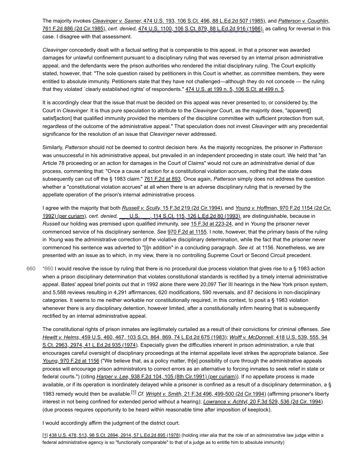The majority invokes *Cleavinger v. Saxner,* [474 U.S. 193, 106 S.Ct. 496, 88 L.Ed.2d 507 \(1985\),](https://scholar.google.com/scholar_case?case=18394044920338678572&q=93-2107&hl=en&as_sdt=6,31) and *Patterson v. Coughlin,* 761 F.2d 886 (2d Cir.1985), *cert. denied,* [474 U.S. 1100, 106 S.Ct. 879, 88 L.Ed.2d 916 \(1986\), as calling for reversal in this](https://scholar.google.com/scholar_case?case=13636434656578041352&q=93-2107&hl=en&as_sdt=6,31) case. I disagree with that assessment.

*Cleavinger* concededly dealt with a factual setting that is comparable to this appeal, in that a prisoner was awarded damages for unlawful confinement pursuant to a disciplinary ruling that was reversed by an internal prison administrative appeal, and the defendants were the prison authorities who rendered the initial disciplinary ruling. The Court explicitly stated, however, that: "The sole question raised by petitioners in this Court is whether, as committee members, they were entitled to absolute immunity. Petitioners state that they have not challenged—although they do not concede — the ruling that they violated `clearly established rights' of respondents." [474 U.S. at 199 n. 5, 106 S.Ct. at 499 n. 5](https://scholar.google.com/scholar_case?case=18394044920338678572&q=93-2107&hl=en&as_sdt=6,31).

It is accordingly clear that the issue that must be decided on this appeal was never presented to, or considered by, the Court in *Cleavinger.* It is thus pure speculation to attribute to the *Cleavinger* Court, as the majority does, "apparent[] satisf[action] that qualified immunity provided the members of the discipline committee with sufficient protection from suit, regardless of the outcome of the administrative appeal." That speculation does not invest *Cleavinger* with any precedential significance for the resolution of an issue that *Cleavinger* never addressed.

Similarly, *Patterson* should not be deemed to control decision here. As the majority recognizes, the prisoner in *Patterson* was unsuccessful in his administrative appeal, but prevailed in an independent proceeding in state court. We held that "an Article 78 proceeding or an action for damages in the Court of Claims" would not cure an administrative denial of due process, commenting that: "Once a cause of action for a constitutional violation accrues, nothing that the state does subsequently can cut off the § 1983 claim." [761 F.2d at 893](https://scholar.google.com/scholar_case?case=13636434656578041352&q=93-2107&hl=en&as_sdt=6,31). Once again, *Patterson* simply does not address the question whether a "constitutional violation accrues" at all when there is an adverse disciplinary ruling that is reversed by the appellate operation of the prison's internal administrative process.

I agree with the majority that both *Russell v. Scully,* [15 F.3d 219 \(2d Cir.1994\),](https://scholar.google.com/scholar_case?case=9536262230093884432&q=93-2107&hl=en&as_sdt=6,31) and *Young v. Hoffman,* 970 F.2d 1154 (2d Cir. 1992) (per curiam), *cert. denied,* [\\_\\_\\_ U.S. \\_\\_\\_, 114 S.Ct. 115, 126 L.Ed.2d 80 \(1993\), are distinguishable, because in](https://scholar.google.com/scholar_case?case=6983699404689839235&q=93-2107&hl=en&as_sdt=6,31) *Russell* our holding was premised upon qualified immunity, *see* [15 F.3d at 223-24,](https://scholar.google.com/scholar_case?case=9536262230093884432&q=93-2107&hl=en&as_sdt=6,31) and in *Young* the prisoner never commenced service of his disciplinary sentence. *See* [970 F.2d at 1155](https://scholar.google.com/scholar_case?case=6983699404689839235&q=93-2107&hl=en&as_sdt=6,31). I note, however, that the primary basis of the ruling in *Young* was the administrative correction of the violative disciplinary determination, while the fact that the prisoner never commenced his sentence was adverted to "[i]n addition" in a concluding paragraph. *See id.* at 1156. Nonetheless, we are presented with an issue as to which, in my view, there is no controlling Supreme Court or Second Circuit precedent.

<span id="page-6-1"></span>[\\*660](#page-6-1) I would resolve the issue by ruling that there is no procedural due process violation that gives rise to a § 1983 action when a prison disciplinary determination that violates constitutional standards is rectified by a timely internal administrative appeal. Bates' appeal brief points out that in 1992 alone there were 20,097 Tier III hearings in the New York prison system, and 5,588 reviews resulting in 4,291 affirmances, 620 modifications, 590 reversals, and 87 decisions in non-disciplinary categories. It seems to me neither workable nor constitutionally required, in this context, to posit a § 1983 violation whenever there is *any* disciplinary detention, however limited, after a constitutionally infirm hearing that is subsequently rectified by an internal administrative appeal. [660](#page-6-1)

The constitutional rights of prison inmates are legitimately curtailed as a result of their convictions for criminal offenses. *See Hewitt v. Helms,* [459 U.S. 460, 467, 103 S.Ct. 864, 869, 74 L.Ed.2d 675 \(1983\);](https://scholar.google.com/scholar_case?case=15087164344148843133&q=93-2107&hl=en&as_sdt=6,31) *Wolff v. McDonnell,* 418 U.S. 539, 555, 94 [S.Ct. 2963, 2974, 41 L.Ed.2d 935 \(1974\). Especially given the difficulties inherent in prison administration, a rule that](https://scholar.google.com/scholar_case?case=2470089403742079115&q=93-2107&hl=en&as_sdt=6,31) encourages careful oversight of disciplinary proceedings at the internal appellate level strikes the appropriate balance. *See Young,* [970 F.2d at 1156](https://scholar.google.com/scholar_case?case=6983699404689839235&q=93-2107&hl=en&as_sdt=6,31) ("We believe that, as a policy matter, th[e] possibility of cure through the administrative appeals process will encourage prison administrators to correct errors as an alternative to forcing inmates to seek relief in state or federal courts.") (citing *Harper v. Lee,* [938 F.2d 104, 105 \(8th Cir.1991\) \(per curiam\)\)](https://scholar.google.com/scholar_case?case=18392039368830998457&q=93-2107&hl=en&as_sdt=6,31). If no appellate process is made available, or if its operation is inordinately delayed while a prisoner is confined as a result of a disciplinary determination, a § 1983 remedy would then be available.[\[1\]](#page-7-0) *Cf. Wright v. Smith,* [21 F.3d 496, 499-500 \(2d Cir.1994\)](https://scholar.google.com/scholar_case?case=10226945986342640712&q=93-2107&hl=en&as_sdt=6,31) (affirming prisoner's liberty interest in not being confined for extended period without a hearing); *Lowrance v. Achtyl,* [20 F.3d 529, 536 \(2d Cir. 1994\)](https://scholar.google.com/scholar_case?case=9381679407316649950&q=93-2107&hl=en&as_sdt=6,31) (due process requires opportunity to be heard within reasonable time after imposition of keeplock).

<span id="page-6-2"></span>I would accordingly affirm the judgment of the district court.

<span id="page-6-0"></span>[\[1\]](#page-4-2) 438 U.S. 478, 513, 98 S.Ct. 2894, 2914, 57 [L.Ed.2d](https://scholar.google.com/scholar_case?case=6218676668787438676&q=93-2107&hl=en&as_sdt=6,31) 895 (1978) (holding inter alia that the role of an administrative law judge within a federal administrative agency is so "functionally comparable" to that of a judge as to entitle him to absolute immunity)